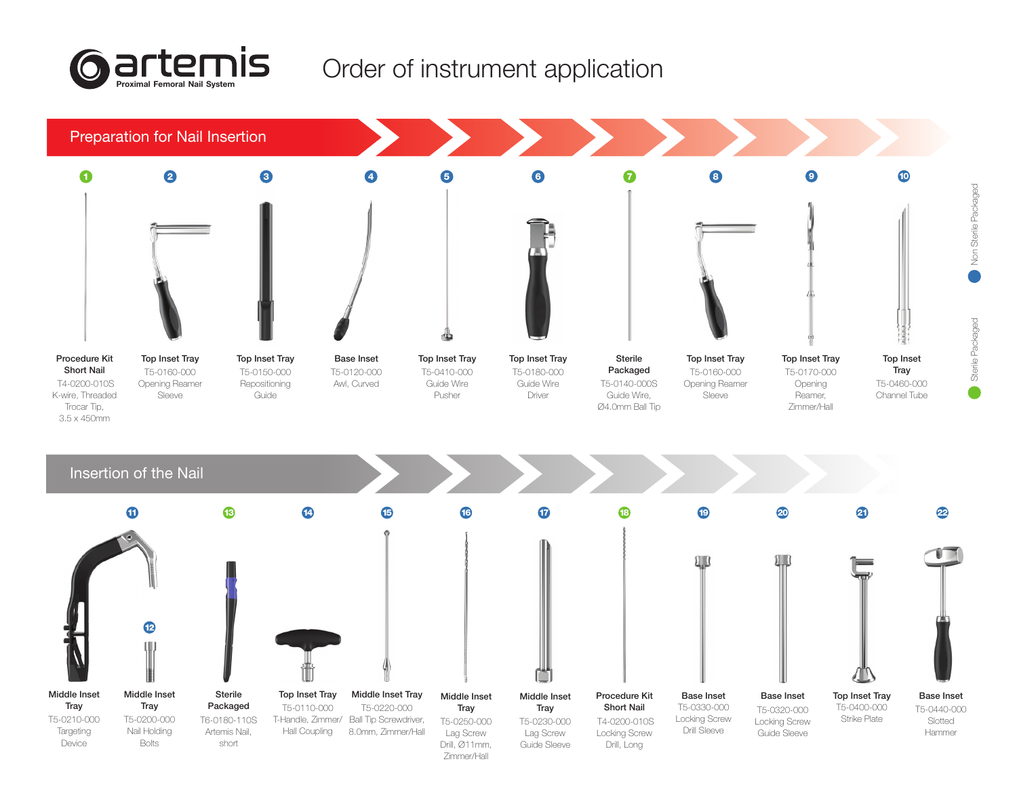

## Order of instrument application

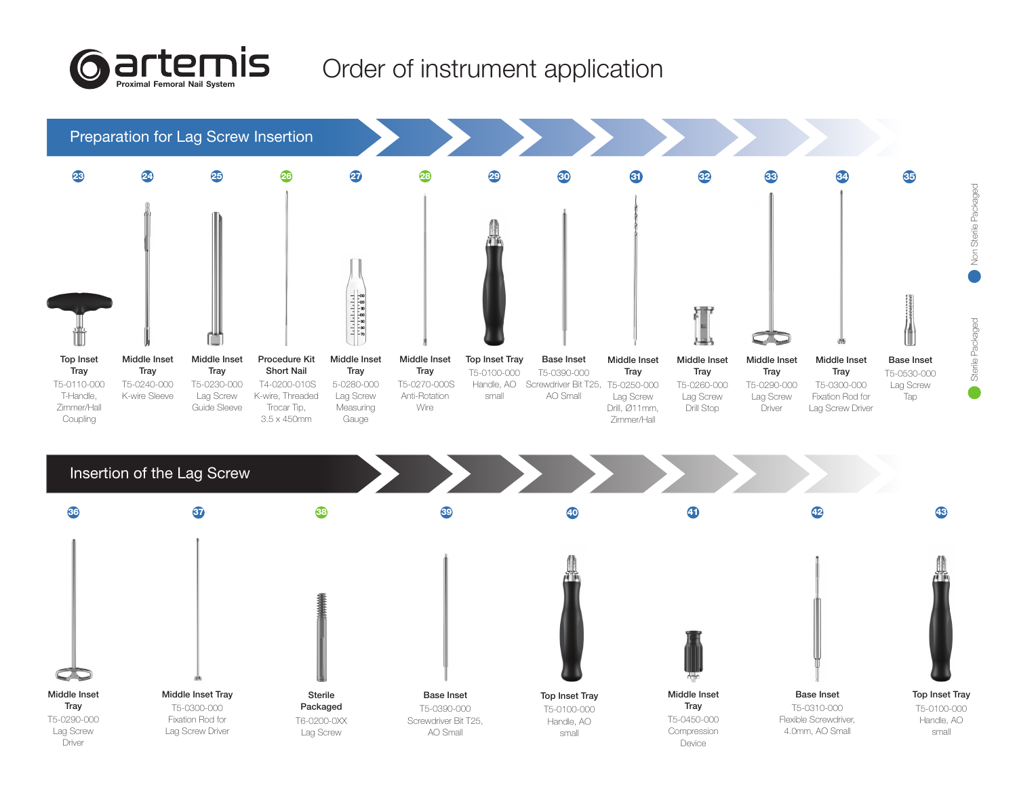

## Order of instrument application